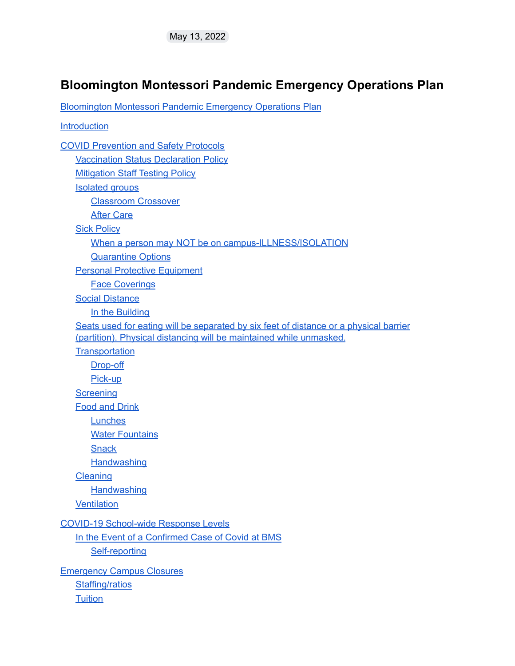#### <span id="page-0-0"></span>**Bloomington Montessori Pandemic Emergency Operations Plan**

[Bloomington](#page-0-0) Montessori Pandemic Emergency Operations Plan

**Introduction** COVID [Prevention](#page-1-0) and Safety Protocols [Vaccination](#page-1-1) Status Declaration Policy [Mitigation](#page-2-0) Staff Testing Policy [Isolated](#page-2-1) groups [Classroom](#page-3-0) Crossover After [Care](#page-3-1) **Sick [Policy](#page-3-2)** When a person may NOT be on [campus-ILLNESS/ISOLATION](#page-3-3) [Quarantine](#page-4-0) Options Personal Protective [Equipment](#page-4-1) Face [Coverings](#page-4-2) Social Distance In the Building Seats used for eating will be separated by six feet of distance or a physical barrier (partition). Physical distancing will be maintained while unmasked. **[Transportation](#page-5-0)** [Drop-off](#page-5-1) [Pick-up](#page-5-2) **[Screening](#page-5-3)** Food and [Drink](#page-6-0) **[Lunches](#page-6-1) Water [Fountains](#page-7-0) [Snack](#page-7-1) [Handwashing](#page-7-2) [Cleaning](#page-7-3) [Handwashing](#page-7-4) [Ventilation](#page-8-0)** COVID-19 [School-wide](#page-8-1) Response Levels In the Event of a [Confirmed](#page-8-2) Case of Covid at BMS [Self-reporting](#page-8-3) Emergency Campus Closures Staffing/ratios **Tuition**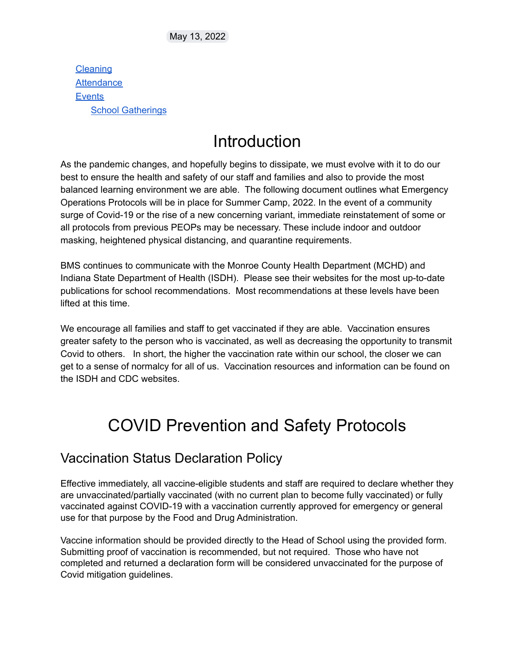**Cleaning [Attendance](#page-9-0) Events** School Gatherings

## **Introduction**

As the pandemic changes, and hopefully begins to dissipate, we must evolve with it to do our best to ensure the health and safety of our staff and families and also to provide the most balanced learning environment we are able. The following document outlines what Emergency Operations Protocols will be in place for Summer Camp, 2022. In the event of a community surge of Covid-19 or the rise of a new concerning variant, immediate reinstatement of some or all protocols from previous PEOPs may be necessary. These include indoor and outdoor masking, heightened physical distancing, and quarantine requirements.

BMS continues to communicate with the Monroe County Health Department (MCHD) and Indiana State Department of Health (ISDH). Please see their websites for the most up-to-date publications for school recommendations. Most recommendations at these levels have been lifted at this time.

We encourage all families and staff to get vaccinated if they are able. Vaccination ensures greater safety to the person who is vaccinated, as well as decreasing the opportunity to transmit Covid to others. In short, the higher the vaccination rate within our school, the closer we can get to a sense of normalcy for all of us. Vaccination resources and information can be found on the ISDH and CDC websites.

# <span id="page-1-0"></span>COVID Prevention and Safety Protocols

#### <span id="page-1-1"></span>Vaccination Status Declaration Policy

Effective immediately, all vaccine-eligible students and staff are required to declare whether they are unvaccinated/partially vaccinated (with no current plan to become fully vaccinated) or fully vaccinated against COVID-19 with a vaccination currently approved for emergency or general use for that purpose by the Food and Drug Administration.

Vaccine information should be provided directly to the Head of School using the provided form. Submitting proof of vaccination is recommended, but not required. Those who have not completed and returned a declaration form will be considered unvaccinated for the purpose of Covid mitigation guidelines.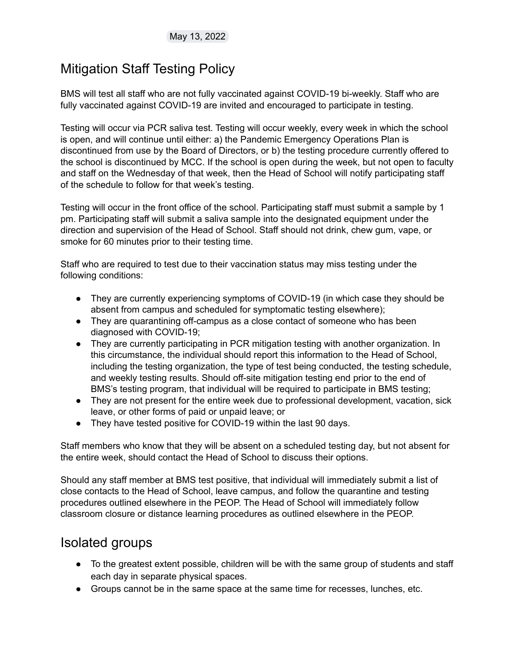#### <span id="page-2-0"></span>Mitigation Staff Testing Policy

BMS will test all staff who are not fully vaccinated against COVID-19 bi-weekly. Staff who are fully vaccinated against COVID-19 are invited and encouraged to participate in testing.

Testing will occur via PCR saliva test. Testing will occur weekly, every week in which the school is open, and will continue until either: a) the Pandemic Emergency Operations Plan is discontinued from use by the Board of Directors, or b) the testing procedure currently offered to the school is discontinued by MCC. If the school is open during the week, but not open to faculty and staff on the Wednesday of that week, then the Head of School will notify participating staff of the schedule to follow for that week's testing.

Testing will occur in the front office of the school. Participating staff must submit a sample by 1 pm. Participating staff will submit a saliva sample into the designated equipment under the direction and supervision of the Head of School. Staff should not drink, chew gum, vape, or smoke for 60 minutes prior to their testing time.

Staff who are required to test due to their vaccination status may miss testing under the following conditions:

- They are currently experiencing symptoms of COVID-19 (in which case they should be absent from campus and scheduled for symptomatic testing elsewhere);
- They are quarantining off-campus as a close contact of someone who has been diagnosed with COVID-19;
- They are currently participating in PCR mitigation testing with another organization. In this circumstance, the individual should report this information to the Head of School, including the testing organization, the type of test being conducted, the testing schedule, and weekly testing results. Should off-site mitigation testing end prior to the end of BMS's testing program, that individual will be required to participate in BMS testing;
- They are not present for the entire week due to professional development, vacation, sick leave, or other forms of paid or unpaid leave; or
- They have tested positive for COVID-19 within the last 90 days.

Staff members who know that they will be absent on a scheduled testing day, but not absent for the entire week, should contact the Head of School to discuss their options.

Should any staff member at BMS test positive, that individual will immediately submit a list of close contacts to the Head of School, leave campus, and follow the quarantine and testing procedures outlined elsewhere in the PEOP. The Head of School will immediately follow classroom closure or distance learning procedures as outlined elsewhere in the PEOP.

#### <span id="page-2-1"></span>Isolated groups

- To the greatest extent possible, children will be with the same group of students and staff each day in separate physical spaces.
- Groups cannot be in the same space at the same time for recesses, lunches, etc.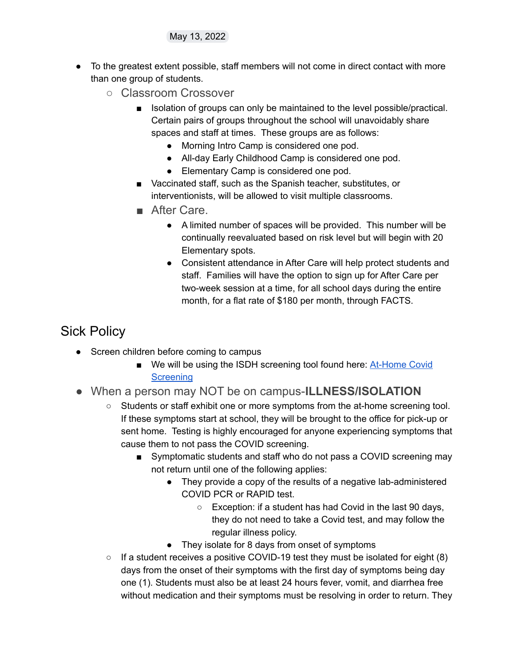- <span id="page-3-0"></span>● To the greatest extent possible, staff members will not come in direct contact with more than one group of students.
	- Classroom Crossover
		- Isolation of groups can only be maintained to the level possible/practical. Certain pairs of groups throughout the school will unavoidably share spaces and staff at times. These groups are as follows:
			- Morning Intro Camp is considered one pod.
			- All-day Early Childhood Camp is considered one pod.
			- Elementary Camp is considered one pod.
		- Vaccinated staff, such as the Spanish teacher, substitutes, or interventionists, will be allowed to visit multiple classrooms.
		- After Care.
			- A limited number of spaces will be provided. This number will be continually reevaluated based on risk level but will begin with 20 Elementary spots.
			- Consistent attendance in After Care will help protect students and staff. Families will have the option to sign up for After Care per two-week session at a time, for all school days during the entire month, for a flat rate of \$180 per month, through FACTS.

### <span id="page-3-2"></span><span id="page-3-1"></span>Sick Policy

- Screen children before coming to campus
	- We will be using the ISDH screening tool found here: **[At-Home](https://www.coronavirus.in.gov/files/21_Parent-screening-12-29-21.pdf) Covid [Screening](https://www.coronavirus.in.gov/files/21_Parent-screening-12-29-21.pdf)**
- <span id="page-3-3"></span>● When a person may NOT be on campus-**ILLNESS/ISOLATION**
	- Students or staff exhibit one or more symptoms from the at-home screening tool. If these symptoms start at school, they will be brought to the office for pick-up or sent home. Testing is highly encouraged for anyone experiencing symptoms that cause them to not pass the COVID screening.
		- Symptomatic students and staff who do not pass a COVID screening may not return until one of the following applies:
			- They provide a copy of the results of a negative lab-administered COVID PCR or RAPID test.
				- Exception: if a student has had Covid in the last 90 days, they do not need to take a Covid test, and may follow the regular illness policy.
			- They isolate for 8 days from onset of symptoms
	- $\circ$  If a student receives a positive COVID-19 test they must be isolated for eight (8) days from the onset of their symptoms with the first day of symptoms being day one (1). Students must also be at least 24 hours fever, vomit, and diarrhea free without medication and their symptoms must be resolving in order to return. They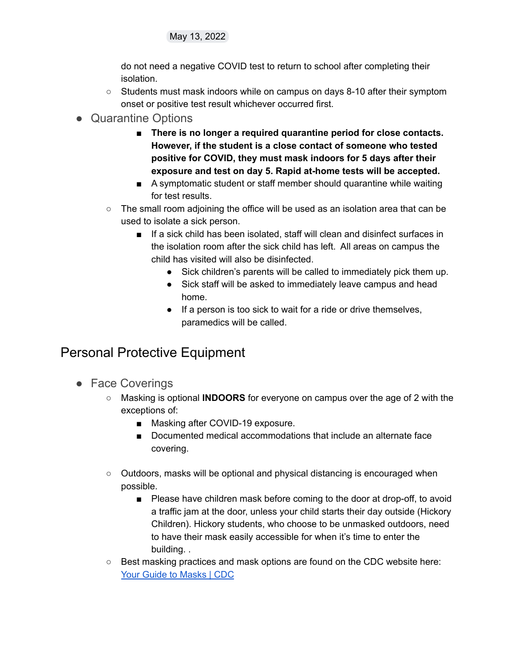do not need a negative COVID test to return to school after completing their isolation.

- Students must mask indoors while on campus on days 8-10 after their symptom onset or positive test result whichever occurred first.
- <span id="page-4-0"></span>● Quarantine Options
	- **There is no longer a required quarantine period for close contacts. However, if the student is a close contact of someone who tested positive for COVID, they must mask indoors for 5 days after their exposure and test on day 5. Rapid at-home tests will be accepted.**
	- A symptomatic student or staff member should quarantine while waiting for test results.
	- $\circ$  The small room adjoining the office will be used as an isolation area that can be used to isolate a sick person.
		- If a sick child has been isolated, staff will clean and disinfect surfaces in the isolation room after the sick child has left. All areas on campus the child has visited will also be disinfected.
			- Sick children's parents will be called to immediately pick them up.
			- Sick staff will be asked to immediately leave campus and head home.
			- If a person is too sick to wait for a ride or drive themselves, paramedics will be called.

### <span id="page-4-1"></span>Personal Protective Equipment

- <span id="page-4-2"></span>● Face Coverings
	- Masking is optional **INDOORS** for everyone on campus over the age of 2 with the exceptions of:
		- Masking after COVID-19 exposure.
		- Documented medical accommodations that include an alternate face covering.
	- Outdoors, masks will be optional and physical distancing is encouraged when possible.
		- Please have children mask before coming to the door at drop-off, to avoid a traffic jam at the door, unless your child starts their day outside (Hickory Children). Hickory students, who choose to be unmasked outdoors, need to have their mask easily accessible for when it's time to enter the building. .
	- Best masking practices and mask options are found on the CDC website here: Your Guide to [Masks](https://www.cdc.gov/coronavirus/2019-ncov/prevent-getting-sick/types-of-masks.html) | CDC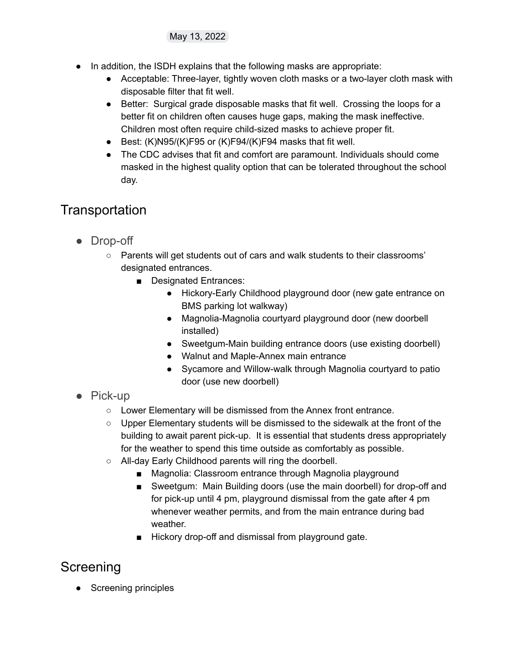- In addition, the ISDH explains that the following masks are appropriate:
	- Acceptable: Three-layer, tightly woven cloth masks or a two-layer cloth mask with disposable filter that fit well.
	- Better: Surgical grade disposable masks that fit well. Crossing the loops for a better fit on children often causes huge gaps, making the mask ineffective. Children most often require child-sized masks to achieve proper fit.
	- Best: (K)N95/(K)F95 or (K)F94/(K)F94 masks that fit well.
	- The CDC advises that fit and comfort are paramount. Individuals should come masked in the highest quality option that can be tolerated throughout the school day.

## <span id="page-5-0"></span>**Transportation**

- <span id="page-5-1"></span>● Drop-off
	- Parents will get students out of cars and walk students to their classrooms' designated entrances.
		- Designated Entrances:
			- Hickory-Early Childhood playground door (new gate entrance on BMS parking lot walkway)
			- Magnolia-Magnolia courtyard playground door (new doorbell installed)
			- Sweetgum-Main building entrance doors (use existing doorbell)
			- Walnut and Maple-Annex main entrance
			- Sycamore and Willow-walk through Magnolia courtyard to patio door (use new doorbell)
- <span id="page-5-2"></span>● Pick-up
	- Lower Elementary will be dismissed from the Annex front entrance.
	- Upper Elementary students will be dismissed to the sidewalk at the front of the building to await parent pick-up. It is essential that students dress appropriately for the weather to spend this time outside as comfortably as possible.
	- All-day Early Childhood parents will ring the doorbell.
		- Magnolia: Classroom entrance through Magnolia playground
		- Sweetgum: Main Building doors (use the main doorbell) for drop-off and for pick-up until 4 pm, playground dismissal from the gate after 4 pm whenever weather permits, and from the main entrance during bad weather.
		- Hickory drop-off and dismissal from playground gate.

### <span id="page-5-3"></span>**Screening**

• Screening principles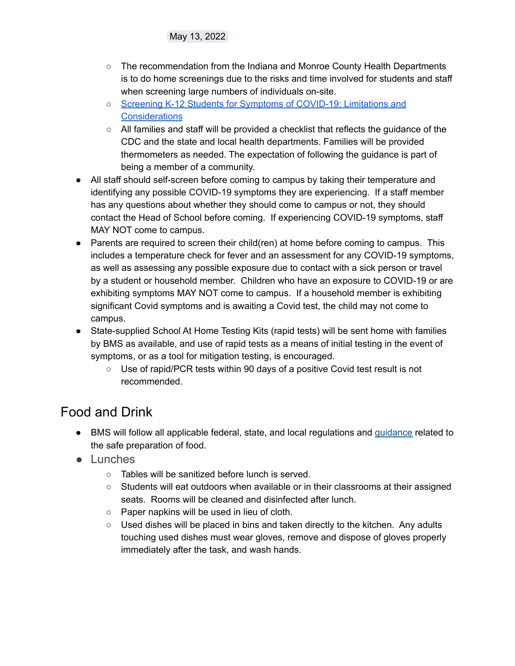- The recommendation from the Indiana and Monroe County Health Departments is to do home screenings due to the risks and time involved for students and staff when screening large numbers of individuals on-site.
- Screening K-12 Students for Symptoms of [COVID-19:](https://www.coronavirus.in.gov/files/20_School-Screening-symptoms_10-22-20.pdf) Limitations and **[Considerations](https://www.coronavirus.in.gov/files/20_School-Screening-symptoms_10-22-20.pdf)**
- All families and staff will be provided a checklist that reflects the guidance of the CDC and the state and local health departments. Families will be provided thermometers as needed. The expectation of following the guidance is part of being a member of a community.
- All staff should self-screen before coming to campus by taking their temperature and identifying any possible COVID-19 symptoms they are experiencing. If a staff member has any questions about whether they should come to campus or not, they should contact the Head of School before coming. If experiencing COVID-19 symptoms, staff MAY NOT come to campus.
- Parents are required to screen their child(ren) at home before coming to campus. This includes a temperature check for fever and an assessment for any COVID-19 symptoms, as well as assessing any possible exposure due to contact with a sick person or travel by a student or household member. Children who have an exposure to COVID-19 or are exhibiting symptoms MAY NOT come to campus. If a household member is exhibiting significant Covid symptoms and is awaiting a Covid test, the child may not come to campus.
- State-supplied School At Home Testing Kits (rapid tests) will be sent home with families by BMS as available, and use of rapid tests as a means of initial testing in the event of symptoms, or as a tool for mitigation testing, is encouraged.
	- Use of rapid/PCR tests within 90 days of a positive Covid test result is not recommended.

### <span id="page-6-0"></span>Food and Drink

- BMS will follow all applicable federal, state, and local regulations and [guidance](https://nrckids.org/CFOC/Database/4.9) related to the safe preparation of food.
- <span id="page-6-1"></span>● Lunches
	- Tables will be sanitized before lunch is served.
	- $\circ$  Students will eat outdoors when available or in their classrooms at their assigned seats. Rooms will be cleaned and disinfected after lunch.
	- Paper napkins will be used in lieu of cloth.
	- $\circ$  Used dishes will be placed in bins and taken directly to the kitchen. Any adults touching used dishes must wear gloves, remove and dispose of gloves properly immediately after the task, and wash hands.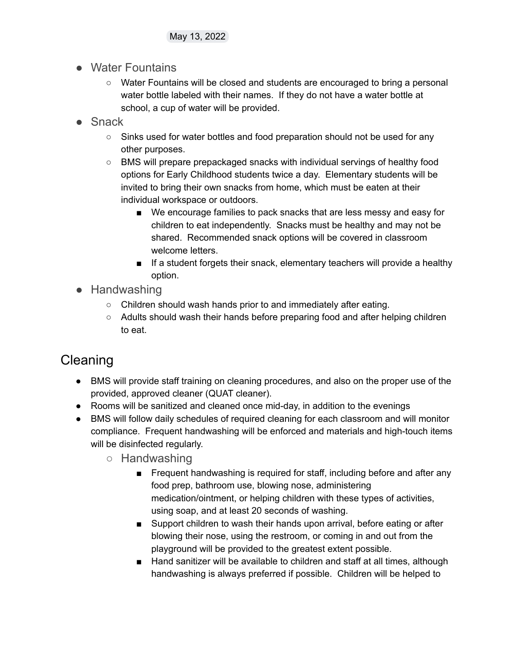- <span id="page-7-0"></span>● Water Fountains
	- Water Fountains will be closed and students are encouraged to bring a personal water bottle labeled with their names. If they do not have a water bottle at school, a cup of water will be provided.
- <span id="page-7-1"></span>● Snack
	- Sinks used for water bottles and food preparation should not be used for any other purposes.
	- BMS will prepare prepackaged snacks with individual servings of healthy food options for Early Childhood students twice a day. Elementary students will be invited to bring their own snacks from home, which must be eaten at their individual workspace or outdoors.
		- We encourage families to pack snacks that are less messy and easy for children to eat independently. Snacks must be healthy and may not be shared. Recommended snack options will be covered in classroom welcome letters.
		- If a student forgets their snack, elementary teachers will provide a healthy option.
- <span id="page-7-2"></span>● Handwashing
	- Children should wash hands prior to and immediately after eating.
	- Adults should wash their hands before preparing food and after helping children to eat.

## <span id="page-7-3"></span>Cleaning

- BMS will provide staff training on cleaning procedures, and also on the proper use of the provided, approved cleaner (QUAT cleaner).
- Rooms will be sanitized and cleaned once mid-day, in addition to the evenings
- <span id="page-7-4"></span>● BMS will follow daily schedules of required cleaning for each classroom and will monitor compliance. Frequent handwashing will be enforced and materials and high-touch items will be disinfected regularly.
	- Handwashing
		- Frequent handwashing is required for staff, including before and after any food prep, bathroom use, blowing nose, administering medication/ointment, or helping children with these types of activities, using soap, and at least 20 seconds of washing.
		- Support children to wash their hands upon arrival, before eating or after blowing their nose, using the restroom, or coming in and out from the playground will be provided to the greatest extent possible.
		- Hand sanitizer will be available to children and staff at all times, although handwashing is always preferred if possible. Children will be helped to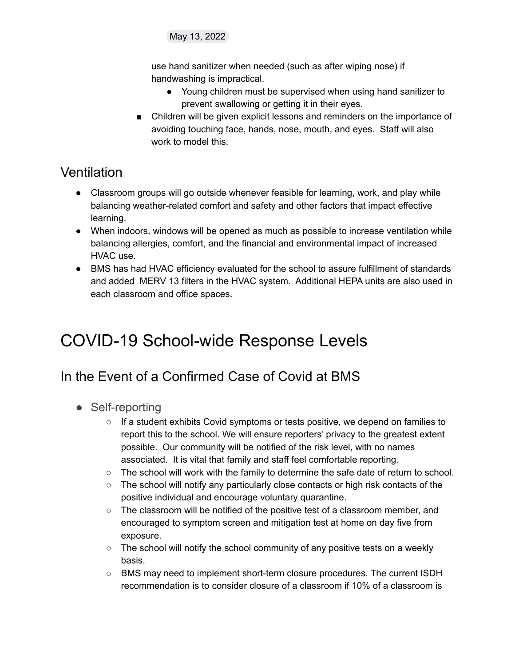use hand sanitizer when needed (such as after wiping nose) if handwashing is impractical.

- Young children must be supervised when using hand sanitizer to prevent swallowing or getting it in their eyes.
- Children will be given explicit lessons and reminders on the importance of avoiding touching face, hands, nose, mouth, and eyes. Staff will also work to model this.

#### <span id="page-8-0"></span>**Ventilation**

- Classroom groups will go outside whenever feasible for learning, work, and play while balancing weather-related comfort and safety and other factors that impact effective learning.
- When indoors, windows will be opened as much as possible to increase ventilation while balancing allergies, comfort, and the financial and environmental impact of increased HVAC use.
- BMS has had HVAC efficiency evaluated for the school to assure fulfillment of standards and added MERV 13 filters in the HVAC system. Additional HEPA units are also used in each classroom and office spaces.

# <span id="page-8-1"></span>COVID-19 School-wide Response Levels

### <span id="page-8-2"></span>In the Event of a Confirmed Case of Covid at BMS

- <span id="page-8-3"></span>• Self-reporting
	- $\circ$  If a student exhibits Covid symptoms or tests positive, we depend on families to report this to the school. We will ensure reporters' privacy to the greatest extent possible. Our community will be notified of the risk level, with no names associated. It is vital that family and staff feel comfortable reporting.
	- $\circ$  The school will work with the family to determine the safe date of return to school.
	- The school will notify any particularly close contacts or high risk contacts of the positive individual and encourage voluntary quarantine.
	- The classroom will be notified of the positive test of a classroom member, and encouraged to symptom screen and mitigation test at home on day five from exposure.
	- $\circ$  The school will notify the school community of any positive tests on a weekly basis.
	- BMS may need to implement short-term closure procedures. The current ISDH recommendation is to consider closure of a classroom if 10% of a classroom is